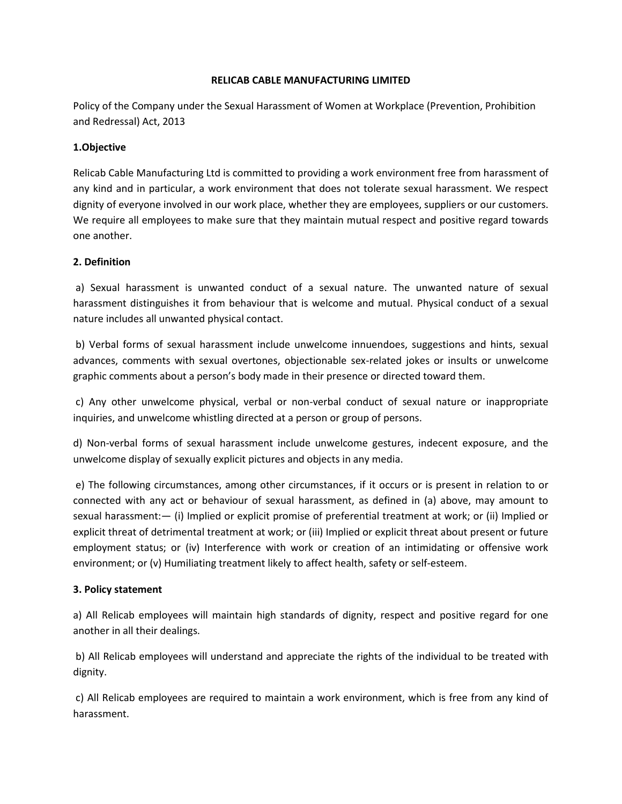### **RELICAB CABLE MANUFACTURING LIMITED**

Policy of the Company under the Sexual Harassment of Women at Workplace (Prevention, Prohibition and Redressal) Act, 2013

#### **1.Objective**

Relicab Cable Manufacturing Ltd is committed to providing a work environment free from harassment of any kind and in particular, a work environment that does not tolerate sexual harassment. We respect dignity of everyone involved in our work place, whether they are employees, suppliers or our customers. We require all employees to make sure that they maintain mutual respect and positive regard towards one another.

### **2. Definition**

a) Sexual harassment is unwanted conduct of a sexual nature. The unwanted nature of sexual harassment distinguishes it from behaviour that is welcome and mutual. Physical conduct of a sexual nature includes all unwanted physical contact.

b) Verbal forms of sexual harassment include unwelcome innuendoes, suggestions and hints, sexual advances, comments with sexual overtones, objectionable sex-related jokes or insults or unwelcome graphic comments about a person's body made in their presence or directed toward them.

c) Any other unwelcome physical, verbal or non-verbal conduct of sexual nature or inappropriate inquiries, and unwelcome whistling directed at a person or group of persons.

d) Non-verbal forms of sexual harassment include unwelcome gestures, indecent exposure, and the unwelcome display of sexually explicit pictures and objects in any media.

e) The following circumstances, among other circumstances, if it occurs or is present in relation to or connected with any act or behaviour of sexual harassment, as defined in (a) above, may amount to sexual harassment:— (i) Implied or explicit promise of preferential treatment at work; or (ii) Implied or explicit threat of detrimental treatment at work; or (iii) Implied or explicit threat about present or future employment status; or (iv) Interference with work or creation of an intimidating or offensive work environment; or (v) Humiliating treatment likely to affect health, safety or self-esteem.

### **3. Policy statement**

a) All Relicab employees will maintain high standards of dignity, respect and positive regard for one another in all their dealings.

b) All Relicab employees will understand and appreciate the rights of the individual to be treated with dignity.

c) All Relicab employees are required to maintain a work environment, which is free from any kind of harassment.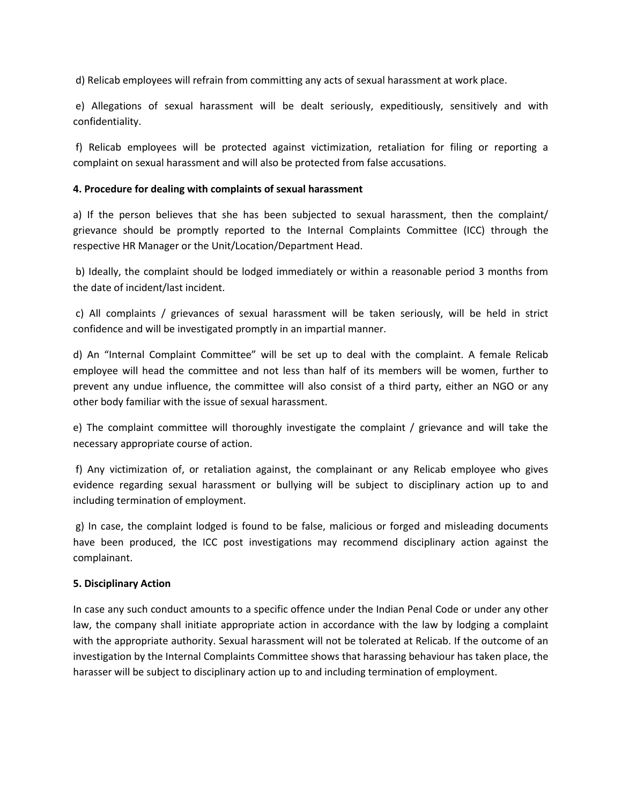d) Relicab employees will refrain from committing any acts of sexual harassment at work place.

e) Allegations of sexual harassment will be dealt seriously, expeditiously, sensitively and with confidentiality.

f) Relicab employees will be protected against victimization, retaliation for filing or reporting a complaint on sexual harassment and will also be protected from false accusations.

### **4. Procedure for dealing with complaints of sexual harassment**

a) If the person believes that she has been subjected to sexual harassment, then the complaint/ grievance should be promptly reported to the Internal Complaints Committee (ICC) through the respective HR Manager or the Unit/Location/Department Head.

b) Ideally, the complaint should be lodged immediately or within a reasonable period 3 months from the date of incident/last incident.

c) All complaints / grievances of sexual harassment will be taken seriously, will be held in strict confidence and will be investigated promptly in an impartial manner.

d) An "Internal Complaint Committee" will be set up to deal with the complaint. A female Relicab employee will head the committee and not less than half of its members will be women, further to prevent any undue influence, the committee will also consist of a third party, either an NGO or any other body familiar with the issue of sexual harassment.

e) The complaint committee will thoroughly investigate the complaint / grievance and will take the necessary appropriate course of action.

f) Any victimization of, or retaliation against, the complainant or any Relicab employee who gives evidence regarding sexual harassment or bullying will be subject to disciplinary action up to and including termination of employment.

g) In case, the complaint lodged is found to be false, malicious or forged and misleading documents have been produced, the ICC post investigations may recommend disciplinary action against the complainant.

### **5. Disciplinary Action**

In case any such conduct amounts to a specific offence under the Indian Penal Code or under any other law, the company shall initiate appropriate action in accordance with the law by lodging a complaint with the appropriate authority. Sexual harassment will not be tolerated at Relicab. If the outcome of an investigation by the Internal Complaints Committee shows that harassing behaviour has taken place, the harasser will be subject to disciplinary action up to and including termination of employment.